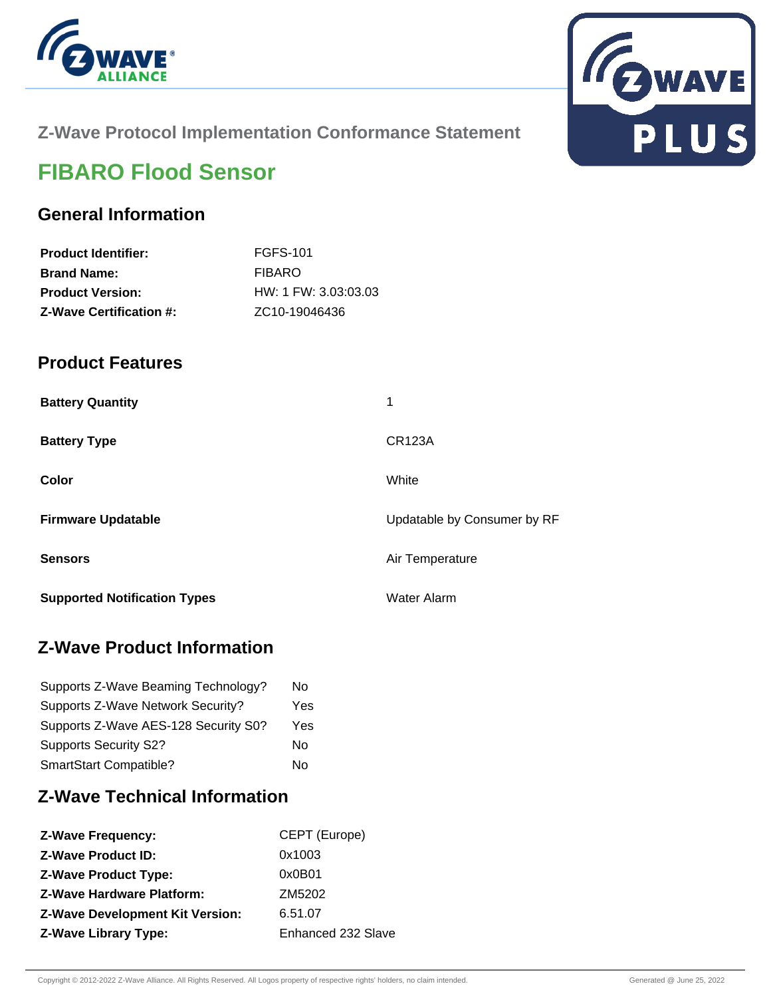



## **Z-Wave Protocol Implementation Conformance Statement**

# **FIBARO Flood Sensor**

## **General Information**

| <b>Product Identifier:</b>     | FGFS-101                   |
|--------------------------------|----------------------------|
| <b>Brand Name:</b>             | FIBARO                     |
| <b>Product Version:</b>        | $HW: 1$ FW: 3.03:03.03     |
| <b>Z-Wave Certification #:</b> | ZC <sub>10</sub> -19046436 |

### **Product Features**

| <b>Battery Quantity</b>             | 1                           |
|-------------------------------------|-----------------------------|
| <b>Battery Type</b>                 | <b>CR123A</b>               |
| Color                               | White                       |
| <b>Firmware Updatable</b>           | Updatable by Consumer by RF |
| <b>Sensors</b>                      | Air Temperature             |
| <b>Supported Notification Types</b> | <b>Water Alarm</b>          |

## **Z-Wave Product Information**

| Supports Z-Wave Beaming Technology?  | No  |
|--------------------------------------|-----|
| Supports Z-Wave Network Security?    | Yes |
| Supports Z-Wave AES-128 Security S0? | Yes |
| <b>Supports Security S2?</b>         | Nο  |
| SmartStart Compatible?               | N٥  |

## **Z-Wave Technical Information**

| CEPT (Europe)      |
|--------------------|
| 0x1003             |
| 0x0B01             |
| ZM5202             |
| 6.51.07            |
| Enhanced 232 Slave |
|                    |